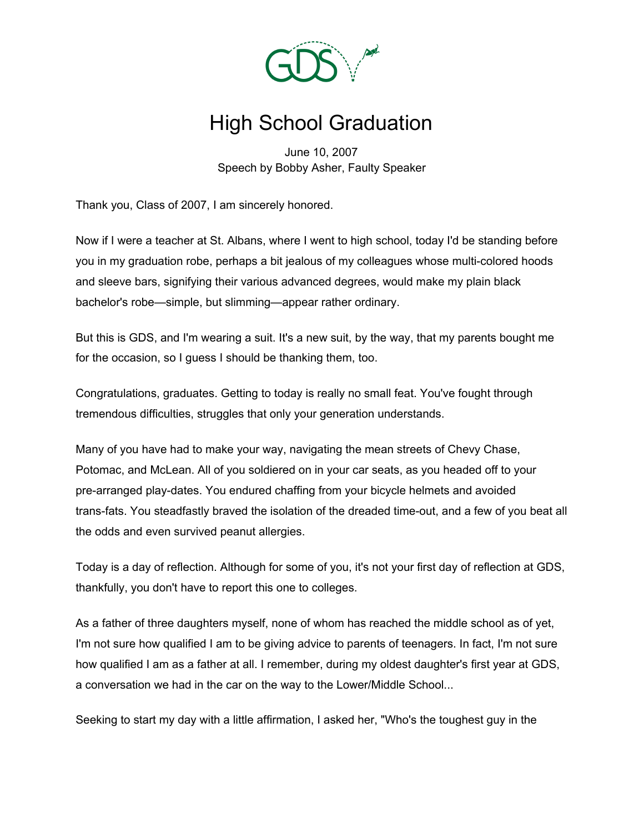

## High School Graduation

June 10, 2007 Speech by Bobby Asher, Faulty Speaker

Thank you, Class of 2007, I am sincerely honored.

Now if I were a teacher at St. Albans, where I went to high school, today I'd be standing before you in my graduation robe, perhaps a bit jealous of my colleagues whose multi-colored hoods and sleeve bars, signifying their various advanced degrees, would make my plain black bachelor's robe—simple, but slimming—appear rather ordinary.

But this is GDS, and I'm wearing a suit. It's a new suit, by the way, that my parents bought me for the occasion, so I guess I should be thanking them, too.

Congratulations, graduates. Getting to today is really no small feat. You've fought through tremendous difficulties, struggles that only your generation understands.

Many of you have had to make your way, navigating the mean streets of Chevy Chase, Potomac, and McLean. All of you soldiered on in your car seats, as you headed off to your pre-arranged play-dates. You endured chaffing from your bicycle helmets and avoided trans-fats. You steadfastly braved the isolation of the dreaded time-out, and a few of you beat all the odds and even survived peanut allergies.

Today is a day of reflection. Although for some of you, it's not your first day of reflection at GDS, thankfully, you don't have to report this one to colleges.

As a father of three daughters myself, none of whom has reached the middle school as of yet, I'm not sure how qualified I am to be giving advice to parents of teenagers. In fact, I'm not sure how qualified I am as a father at all. I remember, during my oldest daughter's first year at GDS, a conversation we had in the car on the way to the Lower/Middle School...

Seeking to start my day with a little affirmation, I asked her, "Who's the toughest guy in the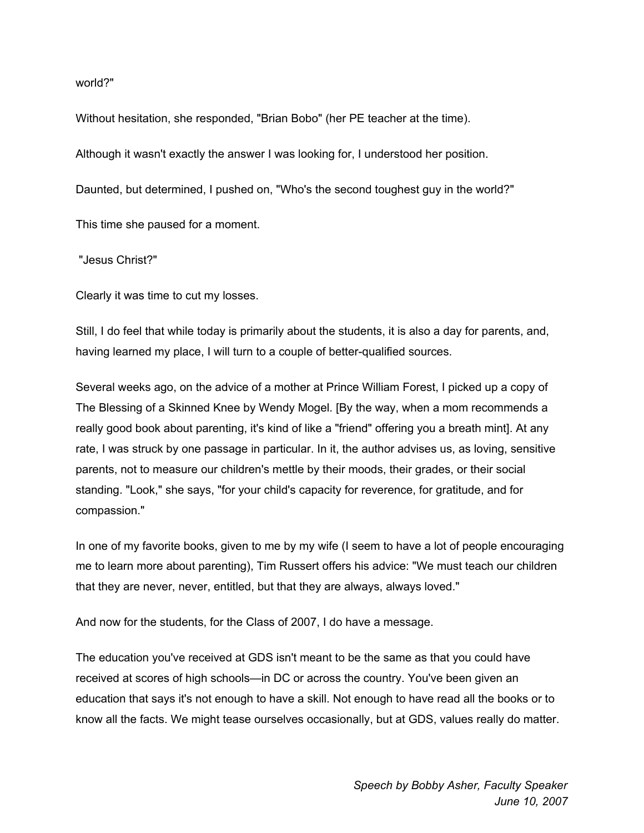world?"

Without hesitation, she responded, "Brian Bobo" (her PE teacher at the time).

Although it wasn't exactly the answer I was looking for, I understood her position.

Daunted, but determined, I pushed on, "Who's the second toughest guy in the world?"

This time she paused for a moment.

"Jesus Christ?"

Clearly it was time to cut my losses.

Still, I do feel that while today is primarily about the students, it is also a day for parents, and, having learned my place, I will turn to a couple of better-qualified sources.

Several weeks ago, on the advice of a mother at Prince William Forest, I picked up a copy of The Blessing of a Skinned Knee by Wendy Mogel. [By the way, when a mom recommends a really good book about parenting, it's kind of like a "friend" offering you a breath mint]. At any rate, I was struck by one passage in particular. In it, the author advises us, as loving, sensitive parents, not to measure our children's mettle by their moods, their grades, or their social standing. "Look," she says, "for your child's capacity for reverence, for gratitude, and for compassion."

In one of my favorite books, given to me by my wife (I seem to have a lot of people encouraging me to learn more about parenting), Tim Russert offers his advice: "We must teach our children that they are never, never, entitled, but that they are always, always loved."

And now for the students, for the Class of 2007, I do have a message.

The education you've received at GDS isn't meant to be the same as that you could have received at scores of high schools—in DC or across the country. You've been given an education that says it's not enough to have a skill. Not enough to have read all the books or to know all the facts. We might tease ourselves occasionally, but at GDS, values really do matter.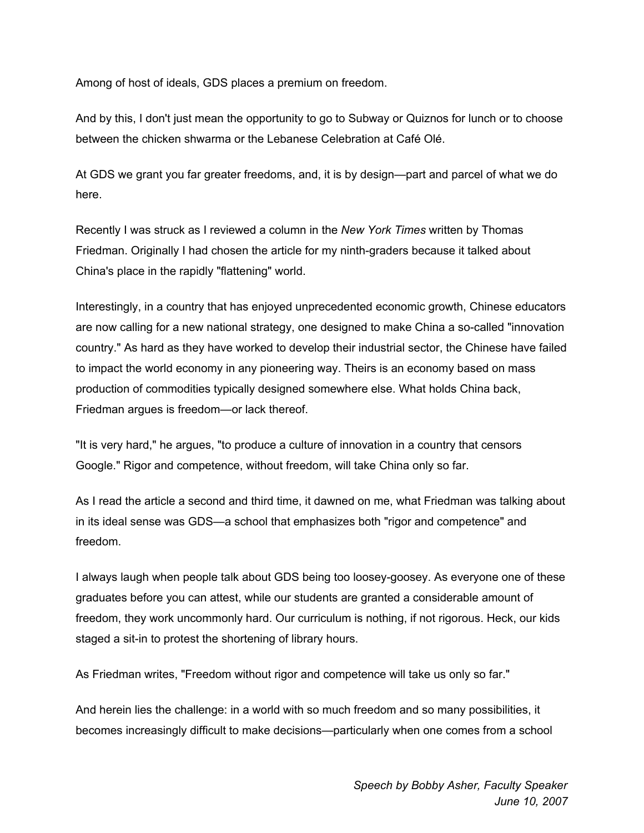Among of host of ideals, GDS places a premium on freedom.

And by this, I don't just mean the opportunity to go to Subway or Quiznos for lunch or to choose between the chicken shwarma or the Lebanese Celebration at Café Olé.

At GDS we grant you far greater freedoms, and, it is by design—part and parcel of what we do here.

Recently I was struck as I reviewed a column in the *New York Times* written by Thomas Friedman. Originally I had chosen the article for my ninth-graders because it talked about China's place in the rapidly "flattening" world.

Interestingly, in a country that has enjoyed unprecedented economic growth, Chinese educators are now calling for a new national strategy, one designed to make China a so-called "innovation country." As hard as they have worked to develop their industrial sector, the Chinese have failed to impact the world economy in any pioneering way. Theirs is an economy based on mass production of commodities typically designed somewhere else. What holds China back, Friedman argues is freedom—or lack thereof.

"It is very hard," he argues, "to produce a culture of innovation in a country that censors Google." Rigor and competence, without freedom, will take China only so far.

As I read the article a second and third time, it dawned on me, what Friedman was talking about in its ideal sense was GDS—a school that emphasizes both "rigor and competence" and freedom.

I always laugh when people talk about GDS being too loosey-goosey. As everyone one of these graduates before you can attest, while our students are granted a considerable amount of freedom, they work uncommonly hard. Our curriculum is nothing, if not rigorous. Heck, our kids staged a sit-in to protest the shortening of library hours.

As Friedman writes, "Freedom without rigor and competence will take us only so far."

And herein lies the challenge: in a world with so much freedom and so many possibilities, it becomes increasingly difficult to make decisions—particularly when one comes from a school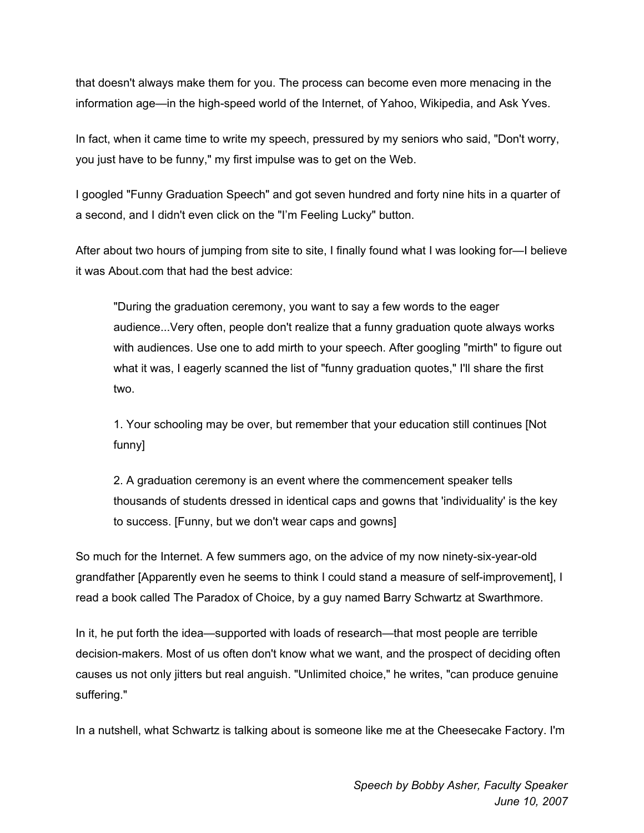that doesn't always make them for you. The process can become even more menacing in the information age—in the high-speed world of the Internet, of Yahoo, Wikipedia, and Ask Yves.

In fact, when it came time to write my speech, pressured by my seniors who said, "Don't worry, you just have to be funny," my first impulse was to get on the Web.

I googled "Funny Graduation Speech" and got seven hundred and forty nine hits in a quarter of a second, and I didn't even click on the "I'm Feeling Lucky" button.

After about two hours of jumping from site to site, I finally found what I was looking for—I believe it was About.com that had the best advice:

"During the graduation ceremony, you want to say a few words to the eager audience...Very often, people don't realize that a funny graduation quote always works with audiences. Use one to add mirth to your speech. After googling "mirth" to figure out what it was, I eagerly scanned the list of "funny graduation quotes," I'll share the first two.

1. Your schooling may be over, but remember that your education still continues [Not funny]

2. A graduation ceremony is an event where the commencement speaker tells thousands of students dressed in identical caps and gowns that 'individuality' is the key to success. [Funny, but we don't wear caps and gowns]

So much for the Internet. A few summers ago, on the advice of my now ninety-six-year-old grandfather [Apparently even he seems to think I could stand a measure of self-improvement], I read a book called The Paradox of Choice, by a guy named Barry Schwartz at Swarthmore.

In it, he put forth the idea—supported with loads of research—that most people are terrible decision-makers. Most of us often don't know what we want, and the prospect of deciding often causes us not only jitters but real anguish. "Unlimited choice," he writes, "can produce genuine suffering."

In a nutshell, what Schwartz is talking about is someone like me at the Cheesecake Factory. I'm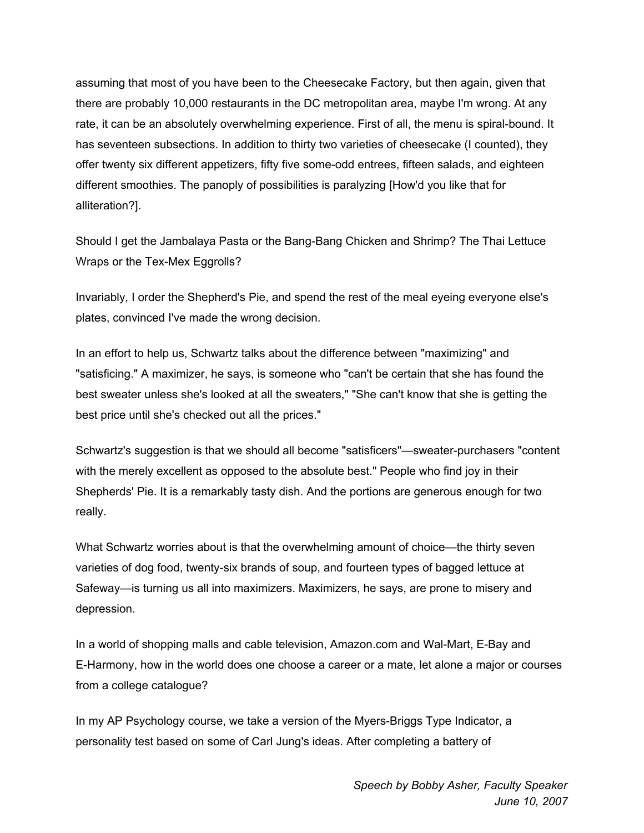assuming that most of you have been to the Cheesecake Factory, but then again, given that there are probably 10,000 restaurants in the DC metropolitan area, maybe I'm wrong. At any rate, it can be an absolutely overwhelming experience. First of all, the menu is spiral-bound. It has seventeen subsections. In addition to thirty two varieties of cheesecake (I counted), they offer twenty six different appetizers, fifty five some-odd entrees, fifteen salads, and eighteen different smoothies. The panoply of possibilities is paralyzing [How'd you like that for alliteration?].

Should I get the Jambalaya Pasta or the Bang-Bang Chicken and Shrimp? The Thai Lettuce Wraps or the Tex-Mex Eggrolls?

Invariably, I order the Shepherd's Pie, and spend the rest of the meal eyeing everyone else's plates, convinced I've made the wrong decision.

In an effort to help us, Schwartz talks about the difference between "maximizing" and "satisficing." A maximizer, he says, is someone who "can't be certain that she has found the best sweater unless she's looked at all the sweaters," "She can't know that she is getting the best price until she's checked out all the prices."

Schwartz's suggestion is that we should all become "satisficers"—sweater-purchasers "content with the merely excellent as opposed to the absolute best." People who find joy in their Shepherds' Pie. It is a remarkably tasty dish. And the portions are generous enough for two really.

What Schwartz worries about is that the overwhelming amount of choice—the thirty seven varieties of dog food, twenty-six brands of soup, and fourteen types of bagged lettuce at Safeway—is turning us all into maximizers. Maximizers, he says, are prone to misery and depression.

In a world of shopping malls and cable television, Amazon.com and Wal-Mart, E-Bay and E-Harmony, how in the world does one choose a career or a mate, let alone a major or courses from a college catalogue?

In my AP Psychology course, we take a version of the Myers-Briggs Type Indicator, a personality test based on some of Carl Jung's ideas. After completing a battery of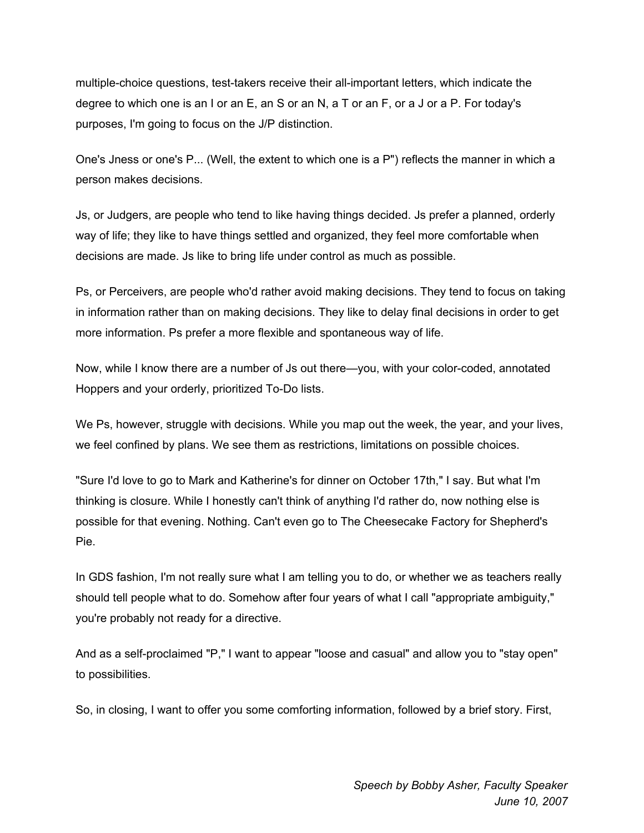multiple-choice questions, test-takers receive their all-important letters, which indicate the degree to which one is an I or an E, an S or an N, a T or an F, or a J or a P. For today's purposes, I'm going to focus on the J/P distinction.

One's Jness or one's P... (Well, the extent to which one is a P") reflects the manner in which a person makes decisions.

Js, or Judgers, are people who tend to like having things decided. Js prefer a planned, orderly way of life; they like to have things settled and organized, they feel more comfortable when decisions are made. Js like to bring life under control as much as possible.

Ps, or Perceivers, are people who'd rather avoid making decisions. They tend to focus on taking in information rather than on making decisions. They like to delay final decisions in order to get more information. Ps prefer a more flexible and spontaneous way of life.

Now, while I know there are a number of Js out there—you, with your color-coded, annotated Hoppers and your orderly, prioritized To-Do lists.

We Ps, however, struggle with decisions. While you map out the week, the year, and your lives, we feel confined by plans. We see them as restrictions, limitations on possible choices.

"Sure I'd love to go to Mark and Katherine's for dinner on October 17th," I say. But what I'm thinking is closure. While I honestly can't think of anything I'd rather do, now nothing else is possible for that evening. Nothing. Can't even go to The Cheesecake Factory for Shepherd's Pie.

In GDS fashion, I'm not really sure what I am telling you to do, or whether we as teachers really should tell people what to do. Somehow after four years of what I call "appropriate ambiguity," you're probably not ready for a directive.

And as a self-proclaimed "P," I want to appear "loose and casual" and allow you to "stay open" to possibilities.

So, in closing, I want to offer you some comforting information, followed by a brief story. First,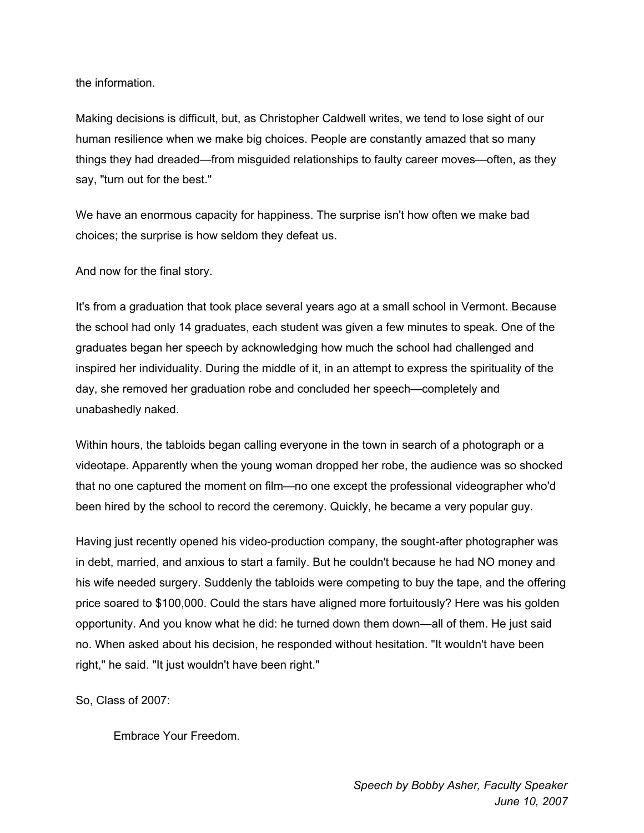the information.

Making decisions is difficult, but, as Christopher Caldwell writes, we tend to lose sight of our human resilience when we make big choices. People are constantly amazed that so many things they had dreaded—from misguided relationships to faulty career moves—often, as they say, "turn out for the best."

We have an enormous capacity for happiness. The surprise isn't how often we make bad choices; the surprise is how seldom they defeat us.

And now for the final story.

It's from a graduation that took place several years ago at a small school in Vermont. Because the school had only 14 graduates, each student was given a few minutes to speak. One of the graduates began her speech by acknowledging how much the school had challenged and inspired her individuality. During the middle of it, in an attempt to express the spirituality of the day, she removed her graduation robe and concluded her speech—completely and unabashedly naked.

Within hours, the tabloids began calling everyone in the town in search of a photograph or a videotape. Apparently when the young woman dropped her robe, the audience was so shocked that no one captured the moment on film—no one except the professional videographer who'd been hired by the school to record the ceremony. Quickly, he became a very popular guy.

Having just recently opened his video-production company, the sought-after photographer was in debt, married, and anxious to start a family. But he couldn't because he had NO money and his wife needed surgery. Suddenly the tabloids were competing to buy the tape, and the offering price soared to \$100,000. Could the stars have aligned more fortuitously? Here was his golden opportunity. And you know what he did: he turned down them down—all of them. He just said no. When asked about his decision, he responded without hesitation. "It wouldn't have been right," he said. "It just wouldn't have been right."

So, Class of 2007:

Embrace Your Freedom.